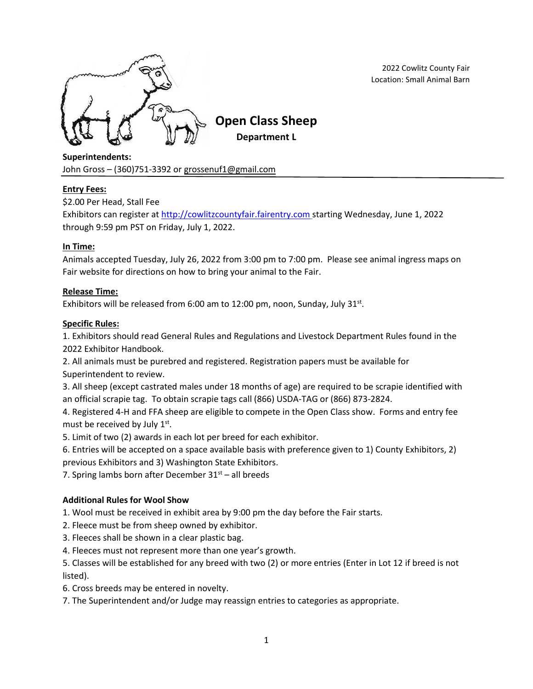

2022 Cowlitz County Fair Location: Small Animal Barn

**Superintendents:**

John Gross –  $(360)$ 751-3392 or [grossenuf1@gmail.com](mailto:grossenuf1@gmail.com)

# **Entry Fees:**

\$2.00 Per Head, Stall Fee

Exhibitors can register at [http://cowlitzcountyfair.fairentry.com](http://cowlitzcountyfair.fairentry.com/) starting Wednesday, June 1, 2022 through 9:59 pm PST on Friday, July 1, 2022.

# **In Time:**

Animals accepted Tuesday, July 26, 2022 from 3:00 pm to 7:00 pm. Please see animal ingress maps on Fair website for directions on how to bring your animal to the Fair.

# **Release Time:**

Exhibitors will be released from 6:00 am to 12:00 pm, noon, Sunday, July 31 $st$ .

# **Specific Rules:**

1. Exhibitors should read General Rules and Regulations and Livestock Department Rules found in the 2022 Exhibitor Handbook.

2. All animals must be purebred and registered. Registration papers must be available for Superintendent to review.

3. All sheep (except castrated males under 18 months of age) are required to be scrapie identified with an official scrapie tag. To obtain scrapie tags call (866) USDA-TAG or (866) 873-2824.

4. Registered 4-H and FFA sheep are eligible to compete in the Open Class show. Forms and entry fee must be received by July 1st.

5. Limit of two (2) awards in each lot per breed for each exhibitor.

6. Entries will be accepted on a space available basis with preference given to 1) County Exhibitors, 2) previous Exhibitors and 3) Washington State Exhibitors.

7. Spring lambs born after December  $31<sup>st</sup>$  – all breeds

# **Additional Rules for Wool Show**

1. Wool must be received in exhibit area by 9:00 pm the day before the Fair starts.

2. Fleece must be from sheep owned by exhibitor.

- 3. Fleeces shall be shown in a clear plastic bag.
- 4. Fleeces must not represent more than one year's growth.

5. Classes will be established for any breed with two (2) or more entries (Enter in Lot 12 if breed is not listed).

6. Cross breeds may be entered in novelty.

7. The Superintendent and/or Judge may reassign entries to categories as appropriate.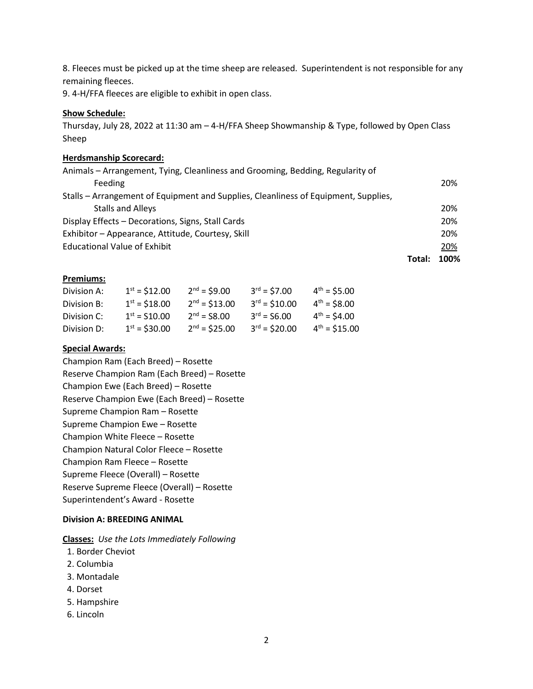8. Fleeces must be picked up at the time sheep are released. Superintendent is not responsible for any remaining fleeces.

9. 4-H/FFA fleeces are eligible to exhibit in open class.

#### **Show Schedule:**

Thursday, July 28, 2022 at 11:30 am – 4-H/FFA Sheep Showmanship & Type, followed by Open Class Sheep

#### **Herdsmanship Scorecard:**

| Animals - Arrangement, Tying, Cleanliness and Grooming, Bedding, Regularity of      |        |      |
|-------------------------------------------------------------------------------------|--------|------|
| Feeding                                                                             |        | 20%  |
| Stalls – Arrangement of Equipment and Supplies, Cleanliness of Equipment, Supplies, |        |      |
| <b>Stalls and Alleys</b>                                                            |        | 20%  |
| Display Effects - Decorations, Signs, Stall Cards                                   |        | 20%  |
| Exhibitor - Appearance, Attitude, Courtesy, Skill                                   |        | 20%  |
| <b>Educational Value of Exhibit</b>                                                 |        | 20%  |
|                                                                                     | Total: | 100% |

#### **Premiums:**

| Division A: | $1st = $12.00$    | $2nd = $9.00$  | $3^{rd} = $7.00$  | $4^{th} = $5.00$        |
|-------------|-------------------|----------------|-------------------|-------------------------|
| Division B: | $1st = $18.00$    | $2nd = $13.00$ | $3^{rd} = $10.00$ | $4^{\text{th}} = $8.00$ |
| Division C: | $1^{st}$ = S10.00 | $2nd = S8.00$  | $3^{rd} = S6.00$  | $4^{th} = $4.00$        |
| Division D: | $1st = $30.00$    | $2nd = $25.00$ | $3rd = $20.00$    | $4^{th}$ = \$15.00      |

#### **Special Awards:**

Champion Ram (Each Breed) – Rosette Reserve Champion Ram (Each Breed) – Rosette Champion Ewe (Each Breed) – Rosette Reserve Champion Ewe (Each Breed) – Rosette Supreme Champion Ram – Rosette Supreme Champion Ewe – Rosette Champion White Fleece – Rosette Champion Natural Color Fleece – Rosette Champion Ram Fleece – Rosette Supreme Fleece (Overall) – Rosette Reserve Supreme Fleece (Overall) – Rosette Superintendent's Award - Rosette

#### **Division A: BREEDING ANIMAL**

**Classes:** *Use the Lots Immediately Following*

- 1. Border Cheviot
- 2. Columbia
- 3. Montadale
- 4. Dorset
- 5. Hampshire
- 6. Lincoln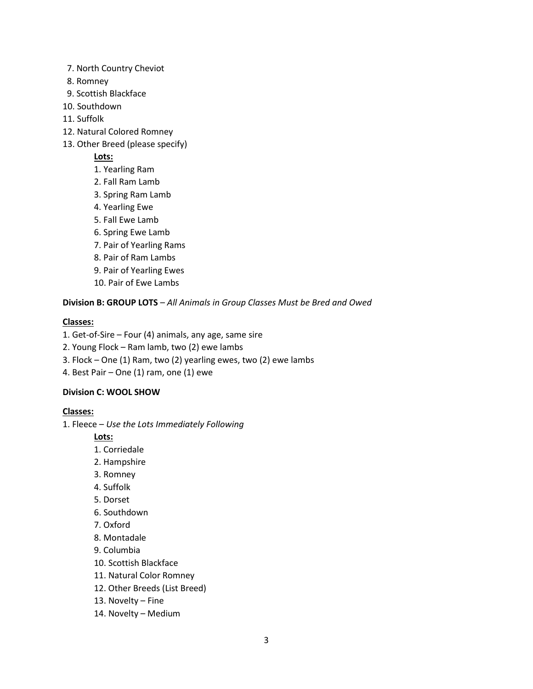- 7. North Country Cheviot
- 8. Romney
- 9. Scottish Blackface
- 10. Southdown
- 11. Suffolk
- 12. Natural Colored Romney
- 13. Other Breed (please specify)
	- **Lots:**
	- 1. Yearling Ram
	- 2. Fall Ram Lamb
	- 3. Spring Ram Lamb
	- 4. Yearling Ewe
	- 5. Fall Ewe Lamb
	- 6. Spring Ewe Lamb
	- 7. Pair of Yearling Rams
	- 8. Pair of Ram Lambs
	- 9. Pair of Yearling Ewes
	- 10. Pair of Ewe Lambs

**Division B: GROUP LOTS** – *All Animals in Group Classes Must be Bred and Owed*

# **Classes:**

- 1. Get-of-Sire Four (4) animals, any age, same sire
- 2. Young Flock Ram lamb, two (2) ewe lambs
- 3. Flock One (1) Ram, two (2) yearling ewes, two (2) ewe lambs
- 4. Best Pair One (1) ram, one (1) ewe

### **Division C: WOOL SHOW**

### **Classes:**

1. Fleece – *Use the Lots Immediately Following*

**Lots:**

- 1. Corriedale
- 2. Hampshire
- 3. Romney
- 4. Suffolk
- 5. Dorset
- 6. Southdown
- 7. Oxford
- 8. Montadale
- 9. Columbia
- 10. Scottish Blackface
- 11. Natural Color Romney
- 12. Other Breeds (List Breed)
- 13. Novelty Fine
- 14. Novelty Medium